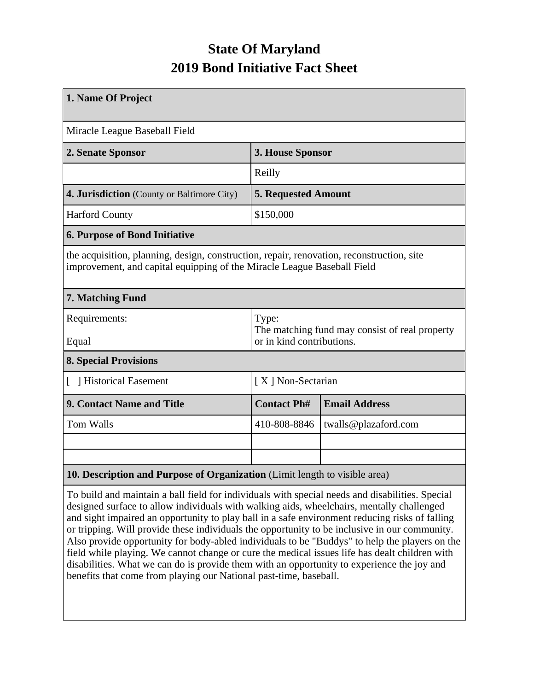## **State Of Maryland 2019 Bond Initiative Fact Sheet**

| 1. Name Of Project                                                                                                                                                   |                                                                             |                      |  |  |  |  |
|----------------------------------------------------------------------------------------------------------------------------------------------------------------------|-----------------------------------------------------------------------------|----------------------|--|--|--|--|
| Miracle League Baseball Field                                                                                                                                        |                                                                             |                      |  |  |  |  |
| 2. Senate Sponsor                                                                                                                                                    | 3. House Sponsor                                                            |                      |  |  |  |  |
|                                                                                                                                                                      | Reilly                                                                      |                      |  |  |  |  |
| 4. Jurisdiction (County or Baltimore City)                                                                                                                           | <b>5. Requested Amount</b>                                                  |                      |  |  |  |  |
| <b>Harford County</b>                                                                                                                                                | \$150,000                                                                   |                      |  |  |  |  |
| <b>6. Purpose of Bond Initiative</b>                                                                                                                                 |                                                                             |                      |  |  |  |  |
| the acquisition, planning, design, construction, repair, renovation, reconstruction, site<br>improvement, and capital equipping of the Miracle League Baseball Field |                                                                             |                      |  |  |  |  |
| 7. Matching Fund                                                                                                                                                     |                                                                             |                      |  |  |  |  |
| Requirements:                                                                                                                                                        | Type:                                                                       |                      |  |  |  |  |
| Equal                                                                                                                                                                | The matching fund may consist of real property<br>or in kind contributions. |                      |  |  |  |  |
| <b>8. Special Provisions</b>                                                                                                                                         |                                                                             |                      |  |  |  |  |
| [ ] Historical Easement                                                                                                                                              | [X] Non-Sectarian                                                           |                      |  |  |  |  |
| <b>9. Contact Name and Title</b>                                                                                                                                     | <b>Contact Ph#</b>                                                          | <b>Email Address</b> |  |  |  |  |
| <b>Tom Walls</b>                                                                                                                                                     | 410-808-8846                                                                | twalls@plazaford.com |  |  |  |  |
|                                                                                                                                                                      |                                                                             |                      |  |  |  |  |
|                                                                                                                                                                      |                                                                             |                      |  |  |  |  |
| 10 Description and Purpose of Organization (Limit length to visible area)                                                                                            |                                                                             |                      |  |  |  |  |

**10. Description and Purpose of Organization** (Limit length to visible area)

To build and maintain a ball field for individuals with special needs and disabilities. Special designed surface to allow individuals with walking aids, wheelchairs, mentally challenged and sight impaired an opportunity to play ball in a safe environment reducing risks of falling or tripping. Will provide these individuals the opportunity to be inclusive in our community. Also provide opportunity for body-abled individuals to be "Buddys" to help the players on the field while playing. We cannot change or cure the medical issues life has dealt children with disabilities. What we can do is provide them with an opportunity to experience the joy and benefits that come from playing our National past-time, baseball.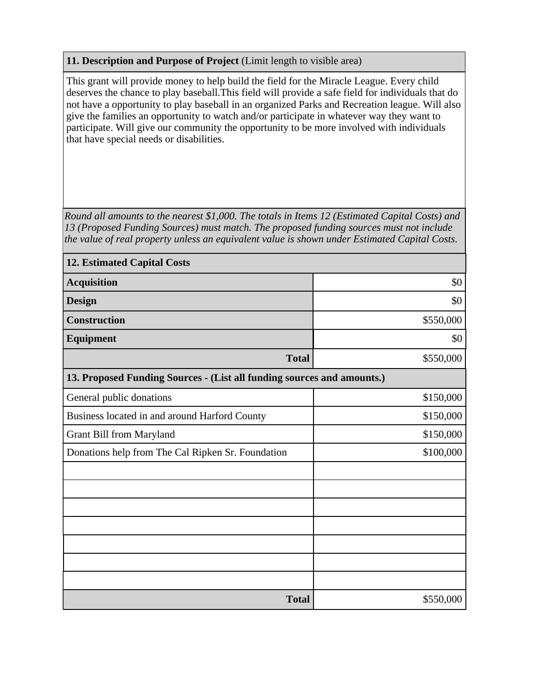## **11. Description and Purpose of Project** (Limit length to visible area)

This grant will provide money to help build the field for the Miracle League. Every child deserves the chance to play baseball.This field will provide a safe field for individuals that do not have a opportunity to play baseball in an organized Parks and Recreation league. Will also give the families an opportunity to watch and/or participate in whatever way they want to participate. Will give our community the opportunity to be more involved with individuals that have special needs or disabilities.

*Round all amounts to the nearest \$1,000. The totals in Items 12 (Estimated Capital Costs) and 13 (Proposed Funding Sources) must match. The proposed funding sources must not include the value of real property unless an equivalent value is shown under Estimated Capital Costs.*

| <b>12. Estimated Capital Costs</b>                                     |           |  |  |  |  |  |
|------------------------------------------------------------------------|-----------|--|--|--|--|--|
| <b>Acquisition</b>                                                     | \$0       |  |  |  |  |  |
| <b>Design</b>                                                          | \$0       |  |  |  |  |  |
| <b>Construction</b>                                                    | \$550,000 |  |  |  |  |  |
| <b>Equipment</b>                                                       | \$0       |  |  |  |  |  |
| <b>Total</b>                                                           | \$550,000 |  |  |  |  |  |
| 13. Proposed Funding Sources - (List all funding sources and amounts.) |           |  |  |  |  |  |
| General public donations                                               | \$150,000 |  |  |  |  |  |
| Business located in and around Harford County                          | \$150,000 |  |  |  |  |  |
| <b>Grant Bill from Maryland</b>                                        | \$150,000 |  |  |  |  |  |
| Donations help from The Cal Ripken Sr. Foundation                      | \$100,000 |  |  |  |  |  |
|                                                                        |           |  |  |  |  |  |
|                                                                        |           |  |  |  |  |  |
|                                                                        |           |  |  |  |  |  |
|                                                                        |           |  |  |  |  |  |
|                                                                        |           |  |  |  |  |  |
|                                                                        |           |  |  |  |  |  |
|                                                                        |           |  |  |  |  |  |
| <b>Total</b>                                                           | \$550,000 |  |  |  |  |  |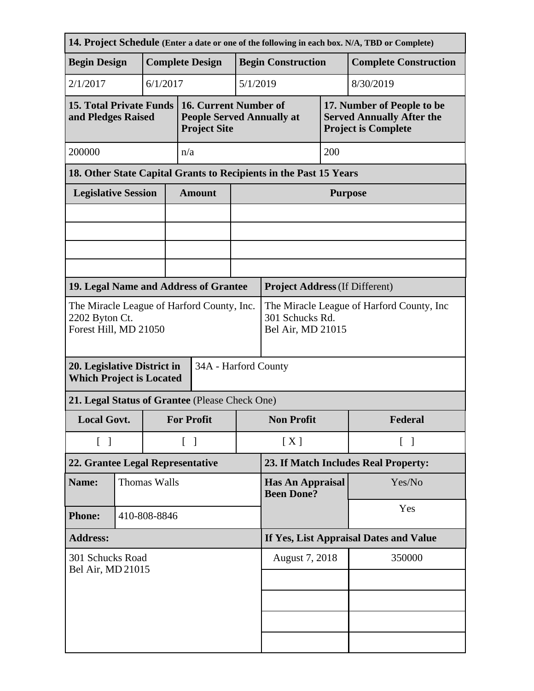| 14. Project Schedule (Enter a date or one of the following in each box. N/A, TBD or Complete) |  |                        |                                   |                                                                                   |                                              |                                                                   |         |                                                                                              |  |
|-----------------------------------------------------------------------------------------------|--|------------------------|-----------------------------------|-----------------------------------------------------------------------------------|----------------------------------------------|-------------------------------------------------------------------|---------|----------------------------------------------------------------------------------------------|--|
| <b>Begin Design</b>                                                                           |  | <b>Complete Design</b> |                                   |                                                                                   | <b>Begin Construction</b>                    |                                                                   |         | <b>Complete Construction</b>                                                                 |  |
| 2/1/2017                                                                                      |  | 6/1/2017               |                                   |                                                                                   |                                              | 5/1/2019                                                          |         | 8/30/2019                                                                                    |  |
| <b>15. Total Private Funds</b><br>and Pledges Raised                                          |  |                        |                                   | 16. Current Number of<br><b>People Served Annually at</b><br><b>Project Site</b>  |                                              |                                                                   |         | 17. Number of People to be<br><b>Served Annually After the</b><br><b>Project is Complete</b> |  |
| 200000                                                                                        |  |                        | n/a                               |                                                                                   | 200                                          |                                                                   |         |                                                                                              |  |
|                                                                                               |  |                        |                                   |                                                                                   |                                              | 18. Other State Capital Grants to Recipients in the Past 15 Years |         |                                                                                              |  |
| <b>Legislative Session</b>                                                                    |  |                        |                                   | <b>Amount</b>                                                                     |                                              | <b>Purpose</b>                                                    |         |                                                                                              |  |
|                                                                                               |  |                        |                                   |                                                                                   |                                              |                                                                   |         |                                                                                              |  |
|                                                                                               |  |                        |                                   |                                                                                   |                                              |                                                                   |         |                                                                                              |  |
|                                                                                               |  |                        |                                   |                                                                                   |                                              |                                                                   |         |                                                                                              |  |
| 19. Legal Name and Address of Grantee                                                         |  |                        |                                   |                                                                                   |                                              | <b>Project Address (If Different)</b>                             |         |                                                                                              |  |
|                                                                                               |  |                        |                                   |                                                                                   |                                              |                                                                   |         |                                                                                              |  |
| The Miracle League of Harford County, Inc.<br>2202 Byton Ct.<br>Forest Hill, MD 21050         |  |                        |                                   | The Miracle League of Harford County, Inc<br>301 Schucks Rd.<br>Bel Air, MD 21015 |                                              |                                                                   |         |                                                                                              |  |
| 20. Legislative District in<br>34A - Harford County<br><b>Which Project is Located</b>        |  |                        |                                   |                                                                                   |                                              |                                                                   |         |                                                                                              |  |
| 21. Legal Status of Grantee (Please Check One)                                                |  |                        |                                   |                                                                                   |                                              |                                                                   |         |                                                                                              |  |
| <b>Local Govt.</b>                                                                            |  |                        | <b>For Profit</b>                 |                                                                                   | <b>Non Profit</b>                            |                                                                   | Federal |                                                                                              |  |
| $\begin{bmatrix} 1 \end{bmatrix}$                                                             |  |                        | $\begin{bmatrix} 1 \end{bmatrix}$ |                                                                                   | [X]                                          | $\lceil \ \rceil$                                                 |         |                                                                                              |  |
| 22. Grantee Legal Representative                                                              |  |                        |                                   |                                                                                   | 23. If Match Includes Real Property:         |                                                                   |         |                                                                                              |  |
| Name:                                                                                         |  | <b>Thomas Walls</b>    |                                   |                                                                                   | <b>Has An Appraisal</b><br><b>Been Done?</b> |                                                                   | Yes/No  |                                                                                              |  |
| <b>Phone:</b>                                                                                 |  | 410-808-8846           |                                   |                                                                                   |                                              |                                                                   | Yes     |                                                                                              |  |
| <b>Address:</b>                                                                               |  |                        |                                   | If Yes, List Appraisal Dates and Value                                            |                                              |                                                                   |         |                                                                                              |  |
| 301 Schucks Road<br>Bel Air, MD 21015                                                         |  |                        |                                   |                                                                                   | August 7, 2018                               |                                                                   | 350000  |                                                                                              |  |
|                                                                                               |  |                        |                                   |                                                                                   |                                              |                                                                   |         |                                                                                              |  |
|                                                                                               |  |                        |                                   |                                                                                   |                                              |                                                                   |         |                                                                                              |  |
|                                                                                               |  |                        |                                   |                                                                                   |                                              |                                                                   |         |                                                                                              |  |
|                                                                                               |  |                        |                                   |                                                                                   |                                              |                                                                   |         |                                                                                              |  |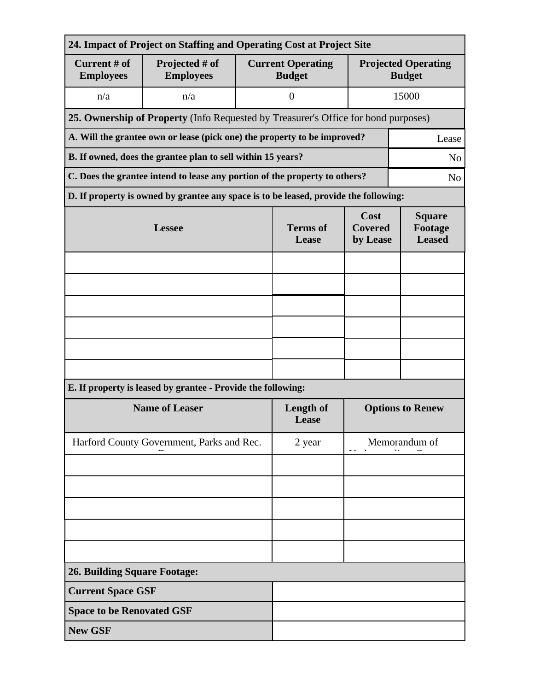| 24. Impact of Project on Staffing and Operating Cost at Project Site              |                                                                                      |                          |                                           |                                             |                |  |  |  |  |
|-----------------------------------------------------------------------------------|--------------------------------------------------------------------------------------|--------------------------|-------------------------------------------|---------------------------------------------|----------------|--|--|--|--|
| Current # of<br><b>Employees</b>                                                  | Projected # of<br><b>Employees</b>                                                   |                          | <b>Current Operating</b><br><b>Budget</b> | <b>Projected Operating</b><br><b>Budget</b> |                |  |  |  |  |
| n/a                                                                               | n/a                                                                                  |                          | $\overline{0}$                            |                                             | 15000          |  |  |  |  |
|                                                                                   | 25. Ownership of Property (Info Requested by Treasurer's Office for bond purposes)   |                          |                                           |                                             |                |  |  |  |  |
| A. Will the grantee own or lease (pick one) the property to be improved?<br>Lease |                                                                                      |                          |                                           |                                             |                |  |  |  |  |
| B. If owned, does the grantee plan to sell within 15 years?<br>N <sub>o</sub>     |                                                                                      |                          |                                           |                                             |                |  |  |  |  |
|                                                                                   | C. Does the grantee intend to lease any portion of the property to others?           |                          |                                           |                                             | N <sub>o</sub> |  |  |  |  |
|                                                                                   | D. If property is owned by grantee any space is to be leased, provide the following: |                          |                                           |                                             |                |  |  |  |  |
|                                                                                   | <b>Lessee</b>                                                                        | <b>Terms</b> of<br>Lease | Cost<br><b>Covered</b><br>by Lease        | <b>Square</b><br>Footage<br><b>Leased</b>   |                |  |  |  |  |
|                                                                                   |                                                                                      |                          |                                           |                                             |                |  |  |  |  |
|                                                                                   |                                                                                      |                          |                                           |                                             |                |  |  |  |  |
|                                                                                   |                                                                                      |                          |                                           |                                             |                |  |  |  |  |
|                                                                                   |                                                                                      |                          |                                           |                                             |                |  |  |  |  |
|                                                                                   |                                                                                      |                          |                                           |                                             |                |  |  |  |  |
|                                                                                   |                                                                                      |                          |                                           |                                             |                |  |  |  |  |
|                                                                                   | E. If property is leased by grantee - Provide the following:                         |                          |                                           |                                             |                |  |  |  |  |
|                                                                                   | <b>Name of Leaser</b>                                                                | Length of<br>Lease       | <b>Options to Renew</b>                   |                                             |                |  |  |  |  |
|                                                                                   | Harford County Government, Parks and Rec.                                            | 2 year                   | Memorandum of                             |                                             |                |  |  |  |  |
|                                                                                   |                                                                                      |                          |                                           |                                             |                |  |  |  |  |
|                                                                                   |                                                                                      |                          |                                           |                                             |                |  |  |  |  |
|                                                                                   |                                                                                      |                          |                                           |                                             |                |  |  |  |  |
|                                                                                   |                                                                                      |                          |                                           |                                             |                |  |  |  |  |
|                                                                                   |                                                                                      |                          |                                           |                                             |                |  |  |  |  |
| <b>26. Building Square Footage:</b>                                               |                                                                                      |                          |                                           |                                             |                |  |  |  |  |
| <b>Current Space GSF</b>                                                          |                                                                                      |                          |                                           |                                             |                |  |  |  |  |
| <b>Space to be Renovated GSF</b>                                                  |                                                                                      |                          |                                           |                                             |                |  |  |  |  |
| <b>New GSF</b>                                                                    |                                                                                      |                          |                                           |                                             |                |  |  |  |  |